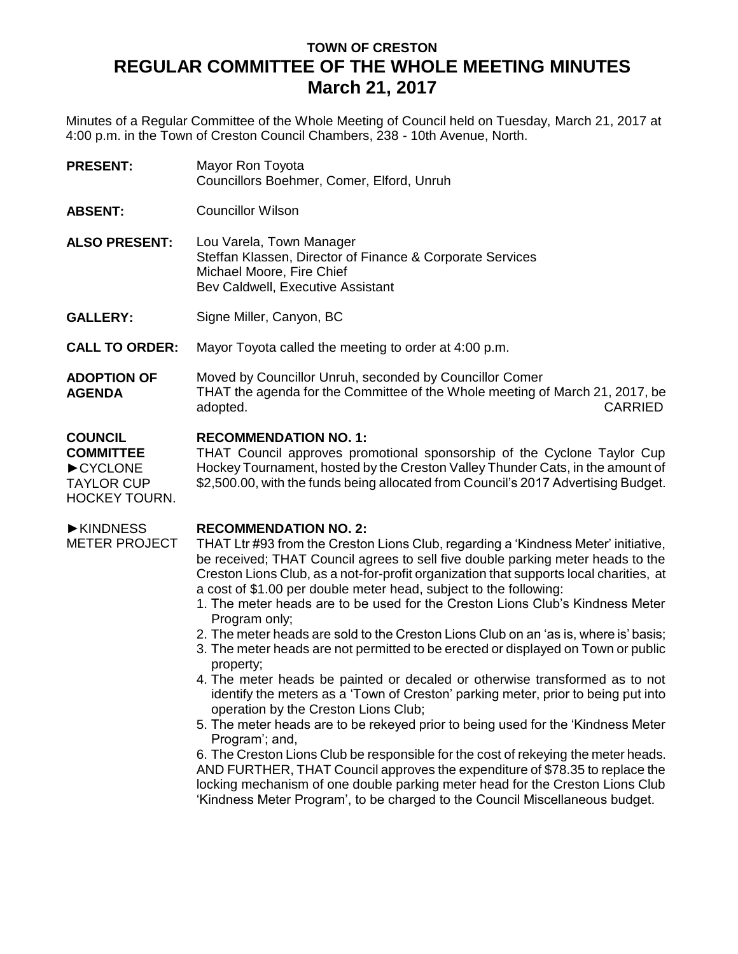# **TOWN OF CRESTON REGULAR COMMITTEE OF THE WHOLE MEETING MINUTES March 21, 2017**

Minutes of a Regular Committee of the Whole Meeting of Council held on Tuesday, March 21, 2017 at 4:00 p.m. in the Town of Creston Council Chambers, 238 - 10th Avenue, North.

**PRESENT:** Mayor Ron Toyota Councillors Boehmer, Comer, Elford, Unruh

**ABSENT:** Councillor Wilson

**ALSO PRESENT:** Lou Varela, Town Manager Steffan Klassen, Director of Finance & Corporate Services Michael Moore, Fire Chief Bev Caldwell, Executive Assistant

GALLERY: Signe Miller, Canyon, BC

**CALL TO ORDER:** Mayor Toyota called the meeting to order at 4:00 p.m.

**ADOPTION OF AGENDA** Moved by Councillor Unruh, seconded by Councillor Comer THAT the agenda for the Committee of the Whole meeting of March 21, 2017, be adopted. CARRIED

#### **COUNCIL RECOMMENDATION NO. 1:**

HOCKEY TOURN. THAT Council approves promotional sponsorship of the Cyclone Taylor Cup Hockey Tournament, hosted by the Creston Valley Thunder Cats, in the amount of \$2,500.00, with the funds being allocated from Council's 2017 Advertising Budget.

►KINDNESS METER PROJECT

**COMMITTEE** ►CYCLONE TAYLOR CUP

### **RECOMMENDATION NO. 2:**

THAT Ltr #93 from the Creston Lions Club, regarding a 'Kindness Meter' initiative, be received; THAT Council agrees to sell five double parking meter heads to the Creston Lions Club, as a not-for-profit organization that supports local charities, at a cost of \$1.00 per double meter head, subject to the following:

- 1. The meter heads are to be used for the Creston Lions Club's Kindness Meter Program only;
- 2. The meter heads are sold to the Creston Lions Club on an 'as is, where is' basis;
- 3. The meter heads are not permitted to be erected or displayed on Town or public property;
- 4. The meter heads be painted or decaled or otherwise transformed as to not identify the meters as a 'Town of Creston' parking meter, prior to being put into operation by the Creston Lions Club;
- 5. The meter heads are to be rekeyed prior to being used for the 'Kindness Meter Program'; and,

6. The Creston Lions Club be responsible for the cost of rekeying the meter heads. AND FURTHER, THAT Council approves the expenditure of \$78.35 to replace the locking mechanism of one double parking meter head for the Creston Lions Club 'Kindness Meter Program', to be charged to the Council Miscellaneous budget.